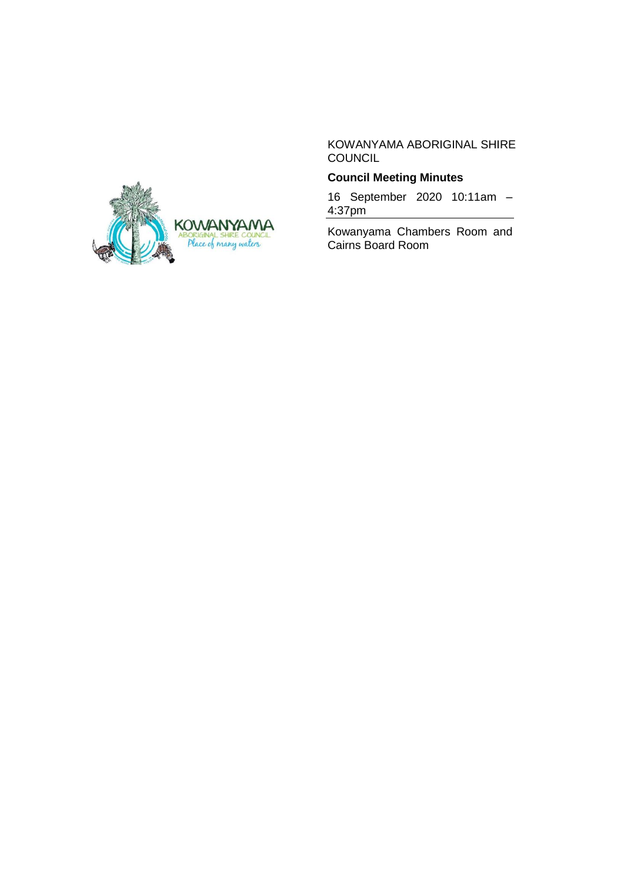KOWANYAMA ABORIGINAL SHIRE **COUNCIL** 

## **Council Meeting Minutes**

16 September 2020 10:11am – 4:37pm

Kowanyama Chambers Room and Cairns Board Room

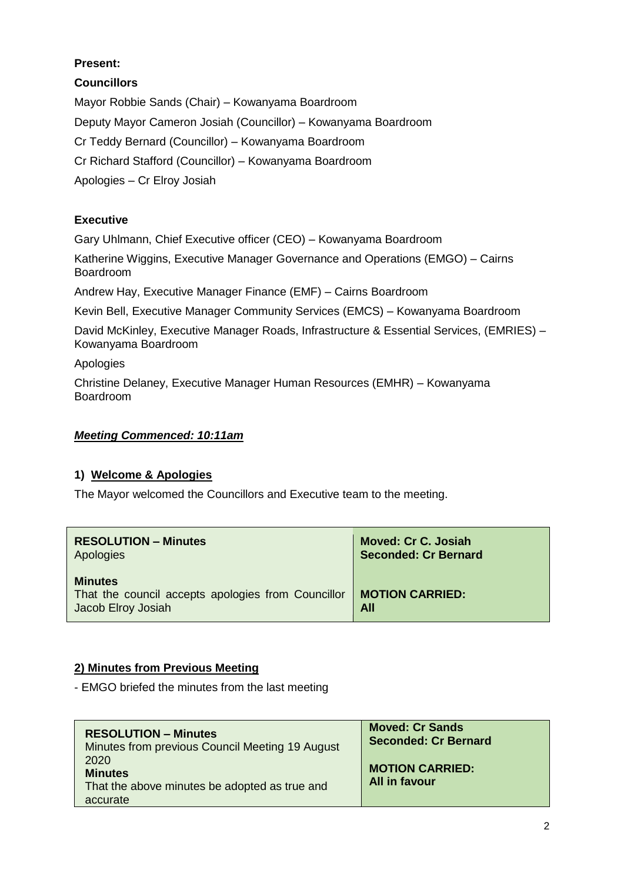# **Present:**

**Councillors**

Mayor Robbie Sands (Chair) – Kowanyama Boardroom Deputy Mayor Cameron Josiah (Councillor) – Kowanyama Boardroom Cr Teddy Bernard (Councillor) – Kowanyama Boardroom Cr Richard Stafford (Councillor) – Kowanyama Boardroom Apologies – Cr Elroy Josiah

## **Executive**

Gary Uhlmann, Chief Executive officer (CEO) – Kowanyama Boardroom

Katherine Wiggins, Executive Manager Governance and Operations (EMGO) – Cairns Boardroom

Andrew Hay, Executive Manager Finance (EMF) – Cairns Boardroom

Kevin Bell, Executive Manager Community Services (EMCS) – Kowanyama Boardroom

David McKinley, Executive Manager Roads, Infrastructure & Essential Services, (EMRIES) – Kowanyama Boardroom

Apologies

Christine Delaney, Executive Manager Human Resources (EMHR) – Kowanyama Boardroom

## *Meeting Commenced: 10:11am*

## **1) Welcome & Apologies**

The Mayor welcomed the Councillors and Executive team to the meeting.

| <b>RESOLUTION - Minutes</b>                                                                | <b>Moved: Cr C. Josiah</b>    |
|--------------------------------------------------------------------------------------------|-------------------------------|
| Apologies                                                                                  | <b>Seconded: Cr Bernard</b>   |
| <b>Minutes</b><br>That the council accepts apologies from Councillor<br>Jacob Elroy Josiah | <b>MOTION CARRIED:</b><br>All |

## **2) Minutes from Previous Meeting**

- EMGO briefed the minutes from the last meeting

| <b>RESOLUTION - Minutes</b>                                                         | <b>Moved: Cr Sands</b>                  |
|-------------------------------------------------------------------------------------|-----------------------------------------|
| Minutes from previous Council Meeting 19 August                                     | <b>Seconded: Cr Bernard</b>             |
| 2020<br><b>Minutes</b><br>That the above minutes be adopted as true and<br>accurate | <b>MOTION CARRIED:</b><br>All in favour |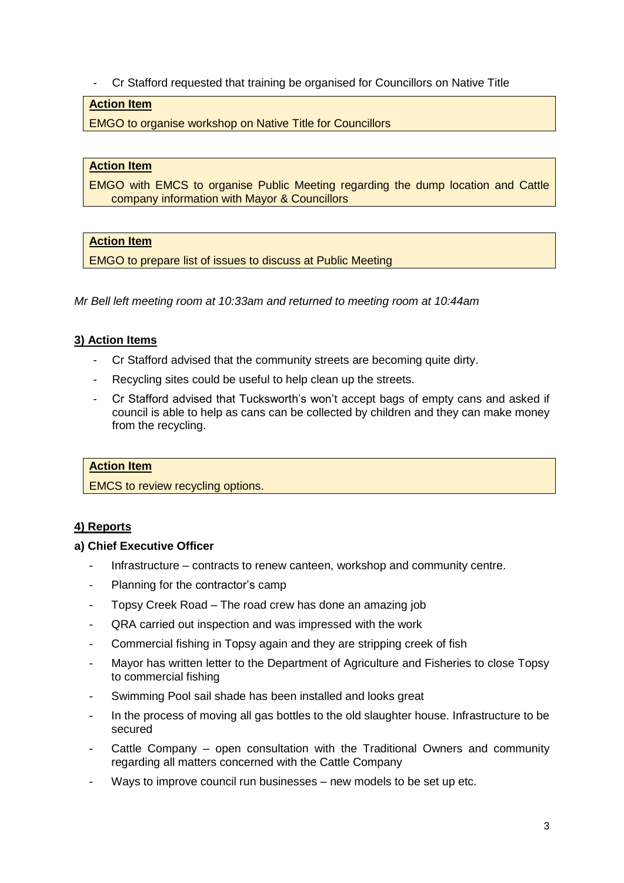- Cr Stafford requested that training be organised for Councillors on Native Title

# **Action Item**

EMGO to organise workshop on Native Title for Councillors

### **Action Item**

EMGO with EMCS to organise Public Meeting regarding the dump location and Cattle company information with Mayor & Councillors

### **Action Item**

EMGO to prepare list of issues to discuss at Public Meeting

*Mr Bell left meeting room at 10:33am and returned to meeting room at 10:44am*

### **3) Action Items**

- Cr Stafford advised that the community streets are becoming quite dirty.
- Recycling sites could be useful to help clean up the streets.
- Cr Stafford advised that Tucksworth's won't accept bags of empty cans and asked if council is able to help as cans can be collected by children and they can make money from the recycling.

### **Action Item**

EMCS to review recycling options.

## **4) Reports**

### **a) Chief Executive Officer**

- Infrastructure contracts to renew canteen, workshop and community centre.
- Planning for the contractor's camp
- Topsy Creek Road The road crew has done an amazing job
- QRA carried out inspection and was impressed with the work
- Commercial fishing in Topsy again and they are stripping creek of fish
- Mayor has written letter to the Department of Agriculture and Fisheries to close Topsy to commercial fishing
- Swimming Pool sail shade has been installed and looks great
- In the process of moving all gas bottles to the old slaughter house. Infrastructure to be secured
- Cattle Company open consultation with the Traditional Owners and community regarding all matters concerned with the Cattle Company
- Ways to improve council run businesses new models to be set up etc.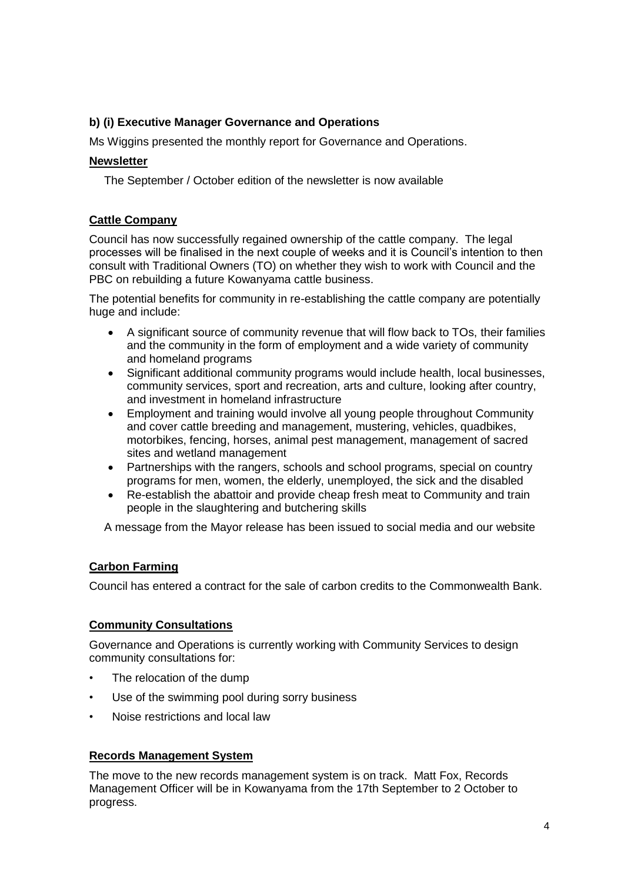## **b) (i) Executive Manager Governance and Operations**

Ms Wiggins presented the monthly report for Governance and Operations.

### **Newsletter**

The September / October edition of the newsletter is now available

## **Cattle Company**

Council has now successfully regained ownership of the cattle company. The legal processes will be finalised in the next couple of weeks and it is Council's intention to then consult with Traditional Owners (TO) on whether they wish to work with Council and the PBC on rebuilding a future Kowanyama cattle business.

The potential benefits for community in re-establishing the cattle company are potentially huge and include:

- A significant source of community revenue that will flow back to TOs, their families and the community in the form of employment and a wide variety of community and homeland programs
- Significant additional community programs would include health, local businesses, community services, sport and recreation, arts and culture, looking after country, and investment in homeland infrastructure
- Employment and training would involve all young people throughout Community and cover cattle breeding and management, mustering, vehicles, quadbikes, motorbikes, fencing, horses, animal pest management, management of sacred sites and wetland management
- Partnerships with the rangers, schools and school programs, special on country programs for men, women, the elderly, unemployed, the sick and the disabled
- Re-establish the abattoir and provide cheap fresh meat to Community and train people in the slaughtering and butchering skills

A message from the Mayor release has been issued to social media and our website

## **Carbon Farming**

Council has entered a contract for the sale of carbon credits to the Commonwealth Bank.

## **Community Consultations**

Governance and Operations is currently working with Community Services to design community consultations for:

- The relocation of the dump
- Use of the swimming pool during sorry business
- Noise restrictions and local law

## **Records Management System**

The move to the new records management system is on track. Matt Fox, Records Management Officer will be in Kowanyama from the 17th September to 2 October to progress.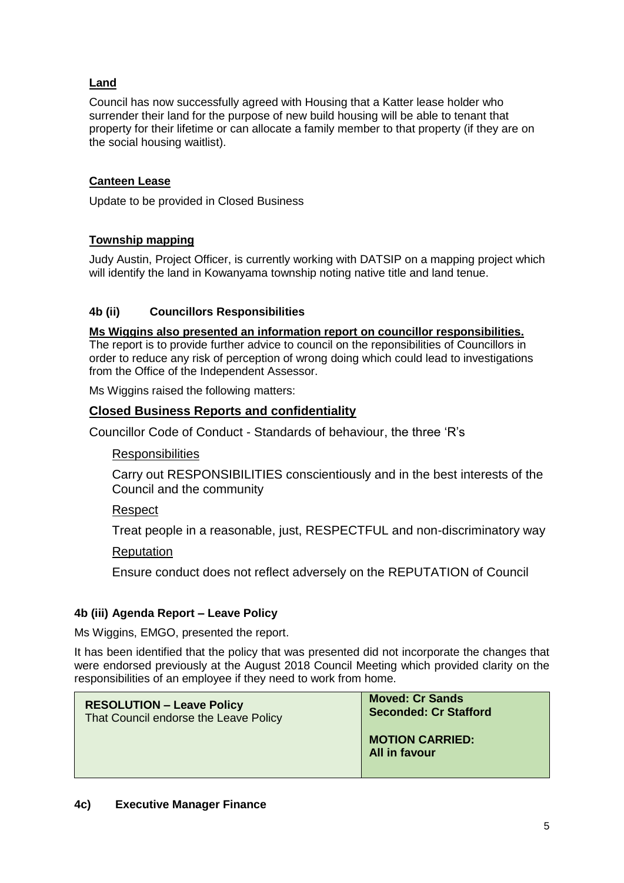## **Land**

Council has now successfully agreed with Housing that a Katter lease holder who surrender their land for the purpose of new build housing will be able to tenant that property for their lifetime or can allocate a family member to that property (if they are on the social housing waitlist).

## **Canteen Lease**

Update to be provided in Closed Business

### **Township mapping**

Judy Austin, Project Officer, is currently working with DATSIP on a mapping project which will identify the land in Kowanyama township noting native title and land tenue.

### **4b (ii) Councillors Responsibilities**

**Ms Wiggins also presented an information report on councillor responsibilities.**  The report is to provide further advice to council on the reponsibilities of Councillors in order to reduce any risk of perception of wrong doing which could lead to investigations from the Office of the Independent Assessor.

Ms Wiggins raised the following matters:

### **Closed Business Reports and confidentiality**

Councillor Code of Conduct - Standards of behaviour, the three 'R's

### **Responsibilities**

Carry out RESPONSIBILITIES conscientiously and in the best interests of the Council and the community

### Respect

Treat people in a reasonable, just, RESPECTFUL and non-discriminatory way

### Reputation

Ensure conduct does not reflect adversely on the REPUTATION of Council

### **4b (iii) Agenda Report – Leave Policy**

Ms Wiggins, EMGO, presented the report.

It has been identified that the policy that was presented did not incorporate the changes that were endorsed previously at the August 2018 Council Meeting which provided clarity on the responsibilities of an employee if they need to work from home.

| <b>RESOLUTION - Leave Policy</b>      | <b>Moved: Cr Sands</b>                  |
|---------------------------------------|-----------------------------------------|
| That Council endorse the Leave Policy | <b>Seconded: Cr Stafford</b>            |
|                                       | <b>MOTION CARRIED:</b><br>All in favour |

### **4c) Executive Manager Finance**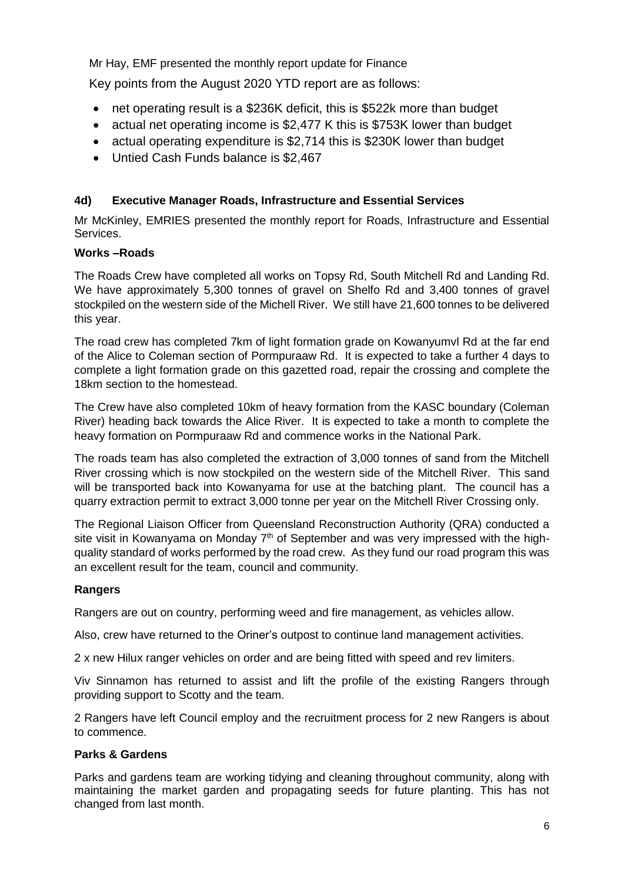Mr Hay, EMF presented the monthly report update for Finance

Key points from the August 2020 YTD report are as follows:

- net operating result is a \$236K deficit, this is \$522k more than budget
- actual net operating income is \$2,477 K this is \$753K lower than budget
- actual operating expenditure is \$2,714 this is \$230K lower than budget
- Untied Cash Funds balance is \$2,467

## **4d) Executive Manager Roads, Infrastructure and Essential Services**

Mr McKinley, EMRIES presented the monthly report for Roads, Infrastructure and Essential Services.

### **Works –Roads**

The Roads Crew have completed all works on Topsy Rd, South Mitchell Rd and Landing Rd. We have approximately 5,300 tonnes of gravel on Shelfo Rd and 3,400 tonnes of gravel stockpiled on the western side of the Michell River. We still have 21,600 tonnes to be delivered this year.

The road crew has completed 7km of light formation grade on Kowanyumvl Rd at the far end of the Alice to Coleman section of Pormpuraaw Rd. It is expected to take a further 4 days to complete a light formation grade on this gazetted road, repair the crossing and complete the 18km section to the homestead.

The Crew have also completed 10km of heavy formation from the KASC boundary (Coleman River) heading back towards the Alice River. It is expected to take a month to complete the heavy formation on Pormpuraaw Rd and commence works in the National Park.

The roads team has also completed the extraction of 3,000 tonnes of sand from the Mitchell River crossing which is now stockpiled on the western side of the Mitchell River. This sand will be transported back into Kowanyama for use at the batching plant. The council has a quarry extraction permit to extract 3,000 tonne per year on the Mitchell River Crossing only.

The Regional Liaison Officer from Queensland Reconstruction Authority (QRA) conducted a site visit in Kowanyama on Monday  $7<sup>th</sup>$  of September and was very impressed with the highquality standard of works performed by the road crew. As they fund our road program this was an excellent result for the team, council and community.

### **Rangers**

Rangers are out on country, performing weed and fire management, as vehicles allow.

Also, crew have returned to the Oriner's outpost to continue land management activities.

2 x new Hilux ranger vehicles on order and are being fitted with speed and rev limiters.

Viv Sinnamon has returned to assist and lift the profile of the existing Rangers through providing support to Scotty and the team.

2 Rangers have left Council employ and the recruitment process for 2 new Rangers is about to commence.

### **Parks & Gardens**

Parks and gardens team are working tidying and cleaning throughout community, along with maintaining the market garden and propagating seeds for future planting. This has not changed from last month.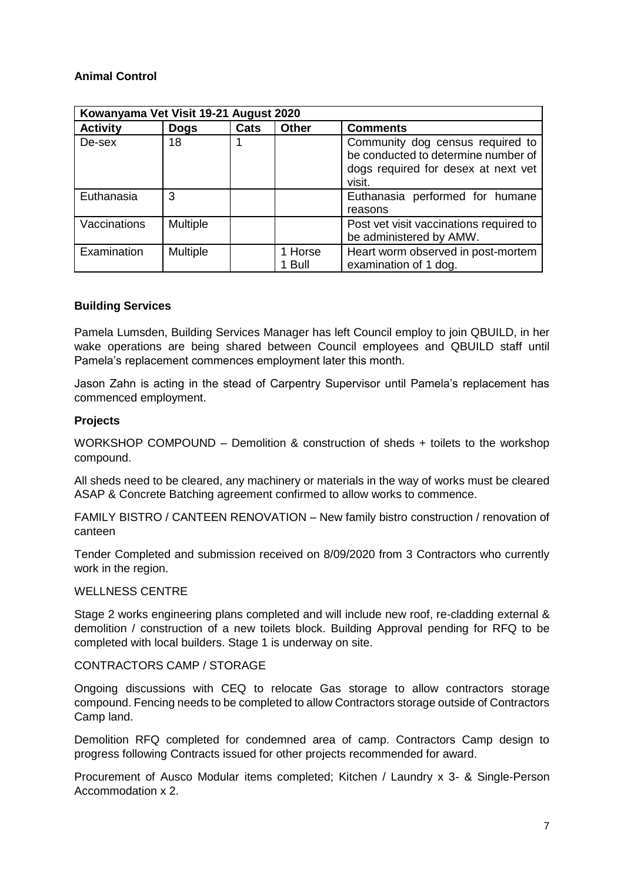## **Animal Control**

| Kowanyama Vet Visit 19-21 August 2020 |                 |      |                   |                                                                                                                          |
|---------------------------------------|-----------------|------|-------------------|--------------------------------------------------------------------------------------------------------------------------|
| <b>Activity</b>                       | <b>Dogs</b>     | Cats | <b>Other</b>      | <b>Comments</b>                                                                                                          |
| De-sex                                | 18              |      |                   | Community dog census required to<br>be conducted to determine number of<br>dogs required for desex at next vet<br>visit. |
| Euthanasia                            | 3               |      |                   | Euthanasia performed for humane<br>reasons                                                                               |
| Vaccinations                          | <b>Multiple</b> |      |                   | Post vet visit vaccinations required to<br>be administered by AMW.                                                       |
| Examination                           | <b>Multiple</b> |      | 1 Horse<br>1 Bull | Heart worm observed in post-mortem<br>examination of 1 dog.                                                              |

### **Building Services**

Pamela Lumsden, Building Services Manager has left Council employ to join QBUILD, in her wake operations are being shared between Council employees and QBUILD staff until Pamela's replacement commences employment later this month.

Jason Zahn is acting in the stead of Carpentry Supervisor until Pamela's replacement has commenced employment.

#### **Projects**

WORKSHOP COMPOUND – Demolition & construction of sheds + toilets to the workshop compound.

All sheds need to be cleared, any machinery or materials in the way of works must be cleared ASAP & Concrete Batching agreement confirmed to allow works to commence.

FAMILY BISTRO / CANTEEN RENOVATION – New family bistro construction / renovation of canteen

Tender Completed and submission received on 8/09/2020 from 3 Contractors who currently work in the region.

#### WELLNESS CENTRE

Stage 2 works engineering plans completed and will include new roof, re-cladding external & demolition / construction of a new toilets block. Building Approval pending for RFQ to be completed with local builders. Stage 1 is underway on site.

#### CONTRACTORS CAMP / STORAGE

Ongoing discussions with CEQ to relocate Gas storage to allow contractors storage compound. Fencing needs to be completed to allow Contractors storage outside of Contractors Camp land.

Demolition RFQ completed for condemned area of camp. Contractors Camp design to progress following Contracts issued for other projects recommended for award.

Procurement of Ausco Modular items completed; Kitchen / Laundry x 3- & Single-Person Accommodation x 2.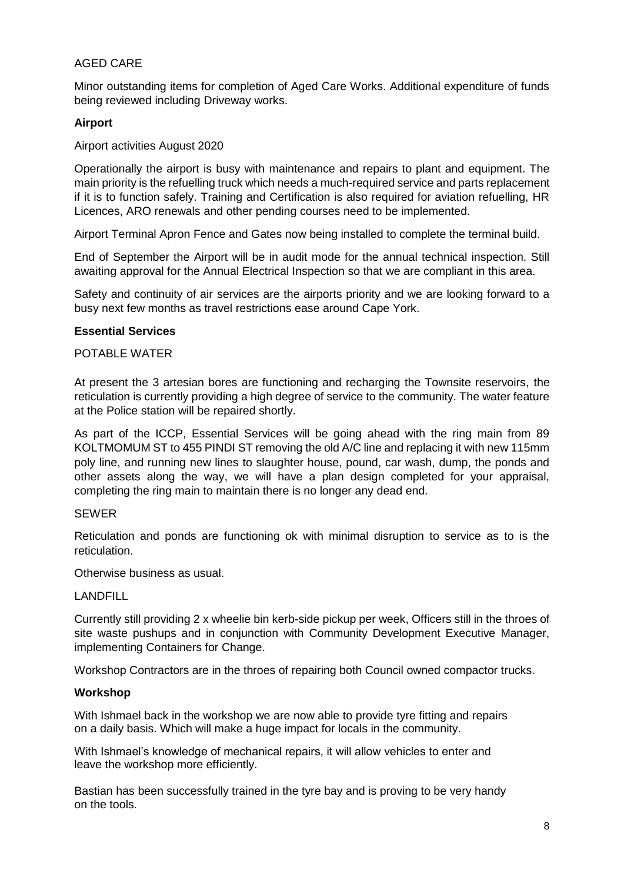### AGED CARE

Minor outstanding items for completion of Aged Care Works. Additional expenditure of funds being reviewed including Driveway works.

### **Airport**

#### Airport activities August 2020

Operationally the airport is busy with maintenance and repairs to plant and equipment. The main priority is the refuelling truck which needs a much-required service and parts replacement if it is to function safely. Training and Certification is also required for aviation refuelling, HR Licences, ARO renewals and other pending courses need to be implemented.

Airport Terminal Apron Fence and Gates now being installed to complete the terminal build.

End of September the Airport will be in audit mode for the annual technical inspection. Still awaiting approval for the Annual Electrical Inspection so that we are compliant in this area.

Safety and continuity of air services are the airports priority and we are looking forward to a busy next few months as travel restrictions ease around Cape York.

#### **Essential Services**

### POTABLE WATER

At present the 3 artesian bores are functioning and recharging the Townsite reservoirs, the reticulation is currently providing a high degree of service to the community. The water feature at the Police station will be repaired shortly.

As part of the ICCP, Essential Services will be going ahead with the ring main from 89 KOLTMOMUM ST to 455 PINDI ST removing the old A/C line and replacing it with new 115mm poly line, and running new lines to slaughter house, pound, car wash, dump, the ponds and other assets along the way, we will have a plan design completed for your appraisal. completing the ring main to maintain there is no longer any dead end.

#### SEWER

Reticulation and ponds are functioning ok with minimal disruption to service as to is the reticulation.

Otherwise business as usual.

### LANDFILL

Currently still providing 2 x wheelie bin kerb-side pickup per week, Officers still in the throes of site waste pushups and in conjunction with Community Development Executive Manager, implementing Containers for Change.

Workshop Contractors are in the throes of repairing both Council owned compactor trucks.

### **Workshop**

With Ishmael back in the workshop we are now able to provide tyre fitting and repairs on a daily basis. Which will make a huge impact for locals in the community.

With Ishmael's knowledge of mechanical repairs, it will allow vehicles to enter and leave the workshop more efficiently.

Bastian has been successfully trained in the tyre bay and is proving to be very handy on the tools.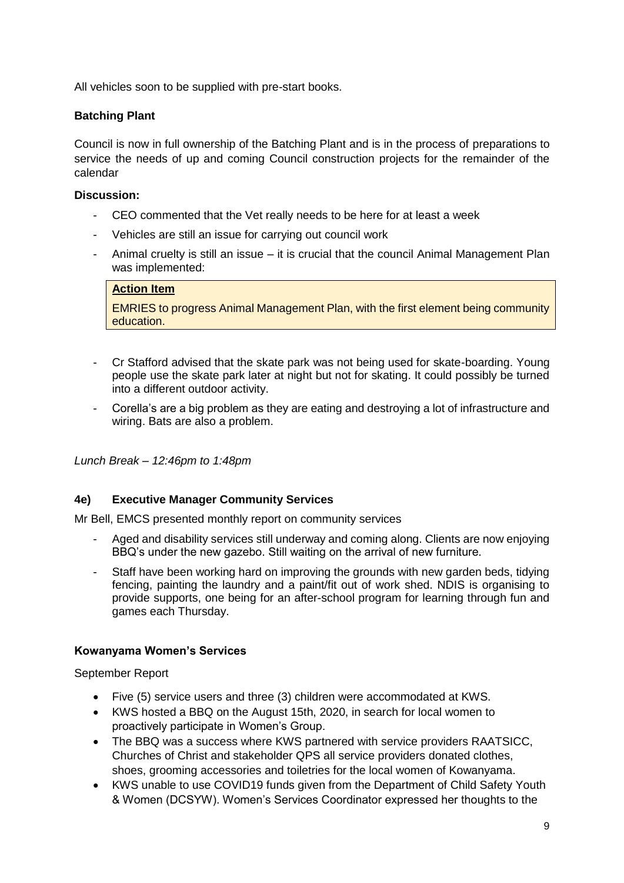All vehicles soon to be supplied with pre-start books.

## **Batching Plant**

Council is now in full ownership of the Batching Plant and is in the process of preparations to service the needs of up and coming Council construction projects for the remainder of the calendar

## **Discussion:**

- CEO commented that the Vet really needs to be here for at least a week
- Vehicles are still an issue for carrying out council work
- Animal cruelty is still an issue it is crucial that the council Animal Management Plan was implemented:

### **Action Item**

EMRIES to progress Animal Management Plan, with the first element being community education.

- Cr Stafford advised that the skate park was not being used for skate-boarding. Young people use the skate park later at night but not for skating. It could possibly be turned into a different outdoor activity.
- Corella's are a big problem as they are eating and destroying a lot of infrastructure and wiring. Bats are also a problem.

*Lunch Break – 12:46pm to 1:48pm*

## **4e) Executive Manager Community Services**

Mr Bell, EMCS presented monthly report on community services

- Aged and disability services still underway and coming along. Clients are now enjoying BBQ's under the new gazebo. Still waiting on the arrival of new furniture.
- Staff have been working hard on improving the grounds with new garden beds, tidying fencing, painting the laundry and a paint/fit out of work shed. NDIS is organising to provide supports, one being for an after-school program for learning through fun and games each Thursday.

## **Kowanyama Women's Services**

September Report

- Five (5) service users and three (3) children were accommodated at KWS.
- KWS hosted a BBQ on the August 15th, 2020, in search for local women to proactively participate in Women's Group.
- The BBQ was a success where KWS partnered with service providers RAATSICC, Churches of Christ and stakeholder QPS all service providers donated clothes, shoes, grooming accessories and toiletries for the local women of Kowanyama.
- KWS unable to use COVID19 funds given from the Department of Child Safety Youth & Women (DCSYW). Women's Services Coordinator expressed her thoughts to the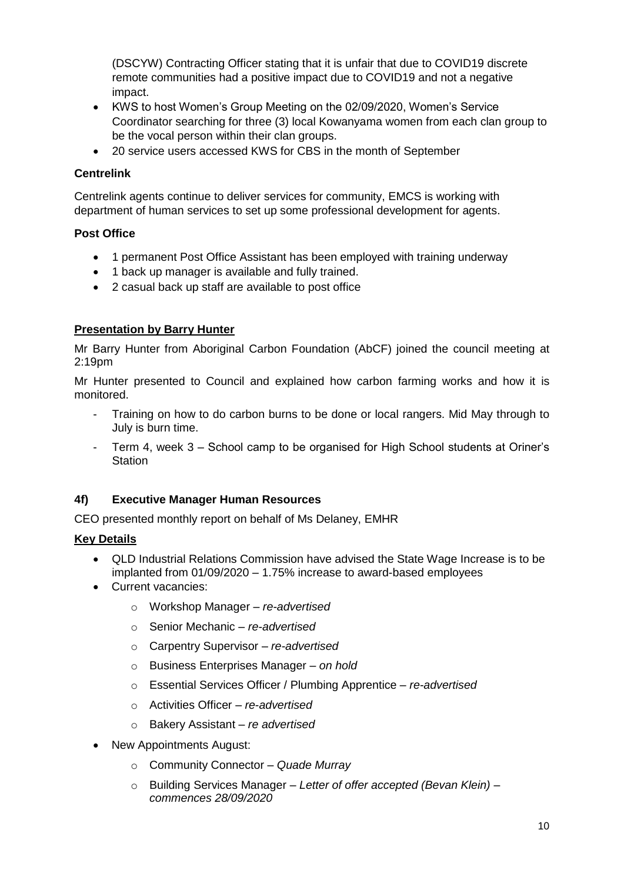(DSCYW) Contracting Officer stating that it is unfair that due to COVID19 discrete remote communities had a positive impact due to COVID19 and not a negative impact.

- KWS to host Women's Group Meeting on the 02/09/2020, Women's Service Coordinator searching for three (3) local Kowanyama women from each clan group to be the vocal person within their clan groups.
- 20 service users accessed KWS for CBS in the month of September

## **Centrelink**

Centrelink agents continue to deliver services for community, EMCS is working with department of human services to set up some professional development for agents.

## **Post Office**

- 1 permanent Post Office Assistant has been employed with training underway
- 1 back up manager is available and fully trained.
- 2 casual back up staff are available to post office

## **Presentation by Barry Hunter**

Mr Barry Hunter from Aboriginal Carbon Foundation (AbCF) joined the council meeting at 2:19pm

Mr Hunter presented to Council and explained how carbon farming works and how it is monitored.

- Training on how to do carbon burns to be done or local rangers. Mid May through to July is burn time.
- Term 4, week 3 School camp to be organised for High School students at Oriner's **Station**

## **4f) Executive Manager Human Resources**

CEO presented monthly report on behalf of Ms Delaney, EMHR

# **Key Details**

- QLD Industrial Relations Commission have advised the State Wage Increase is to be implanted from 01/09/2020 – 1.75% increase to award-based employees
- Current vacancies:
	- o Workshop Manager *re-advertised*
	- o Senior Mechanic *– re-advertised*
	- o Carpentry Supervisor *– re-advertised*
	- o Business Enterprises Manager *– on hold*
	- o Essential Services Officer / Plumbing Apprentice *re-advertised*
	- o Activities Officer *re*-*advertised*
	- o Bakery Assistant *re advertised*
- New Appointments August:
	- o Community Connector *Quade Murray*
	- o Building Services Manager *– Letter of offer accepted (Bevan Klein) – commences 28/09/2020*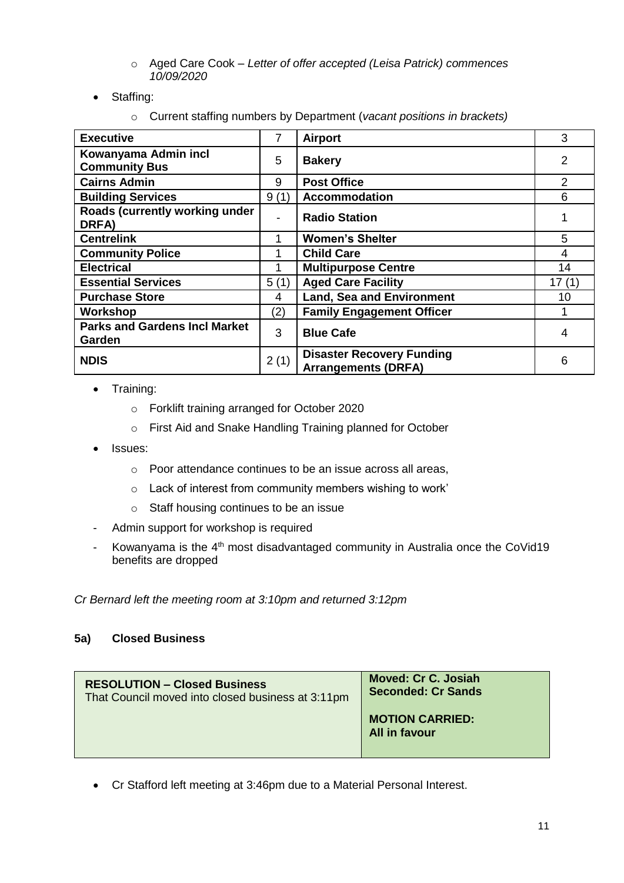- o Aged Care Cook *– Letter of offer accepted (Leisa Patrick) commences 10/09/2020*
- Staffing:
	- o Current staffing numbers by Department (*vacant positions in brackets)*

| <b>Executive</b>                               | 7    | <b>Airport</b>                                                 | 3              |
|------------------------------------------------|------|----------------------------------------------------------------|----------------|
| Kowanyama Admin incl<br><b>Community Bus</b>   | 5    | <b>Bakery</b>                                                  | $\overline{2}$ |
| <b>Cairns Admin</b>                            | 9    | <b>Post Office</b>                                             | 2              |
| <b>Building Services</b>                       | 9(1) | <b>Accommodation</b>                                           | 6              |
| Roads (currently working under<br>DRFA)        | ۰    | <b>Radio Station</b>                                           |                |
| <b>Centrelink</b>                              |      | <b>Women's Shelter</b>                                         | 5              |
| <b>Community Police</b>                        |      | <b>Child Care</b>                                              | 4              |
| <b>Electrical</b>                              |      | <b>Multipurpose Centre</b>                                     | 14             |
| <b>Essential Services</b>                      | 5(1) | <b>Aged Care Facility</b>                                      | 17(1)          |
| <b>Purchase Store</b>                          | 4    | <b>Land, Sea and Environment</b>                               | 10             |
| Workshop                                       | (2)  | <b>Family Engagement Officer</b>                               |                |
| <b>Parks and Gardens Incl Market</b><br>Garden | 3    | <b>Blue Cafe</b>                                               | 4              |
| <b>NDIS</b>                                    | 2(1) | <b>Disaster Recovery Funding</b><br><b>Arrangements (DRFA)</b> | 6              |

- Training:
	- o Forklift training arranged for October 2020
	- o First Aid and Snake Handling Training planned for October
- Issues:
	- o Poor attendance continues to be an issue across all areas,
	- o Lack of interest from community members wishing to work'
	- o Staff housing continues to be an issue
- Admin support for workshop is required
- Kowanyama is the  $4<sup>th</sup>$  most disadvantaged community in Australia once the CoVid19 benefits are dropped

*Cr Bernard left the meeting room at 3:10pm and returned 3:12pm*

# **5a) Closed Business**

| <b>RESOLUTION - Closed Business</b>               | <b>Moved: Cr C. Josiah</b>              |
|---------------------------------------------------|-----------------------------------------|
| That Council moved into closed business at 3:11pm | <b>Seconded: Cr Sands</b>               |
|                                                   | <b>MOTION CARRIED:</b><br>All in favour |

• Cr Stafford left meeting at 3:46pm due to a Material Personal Interest.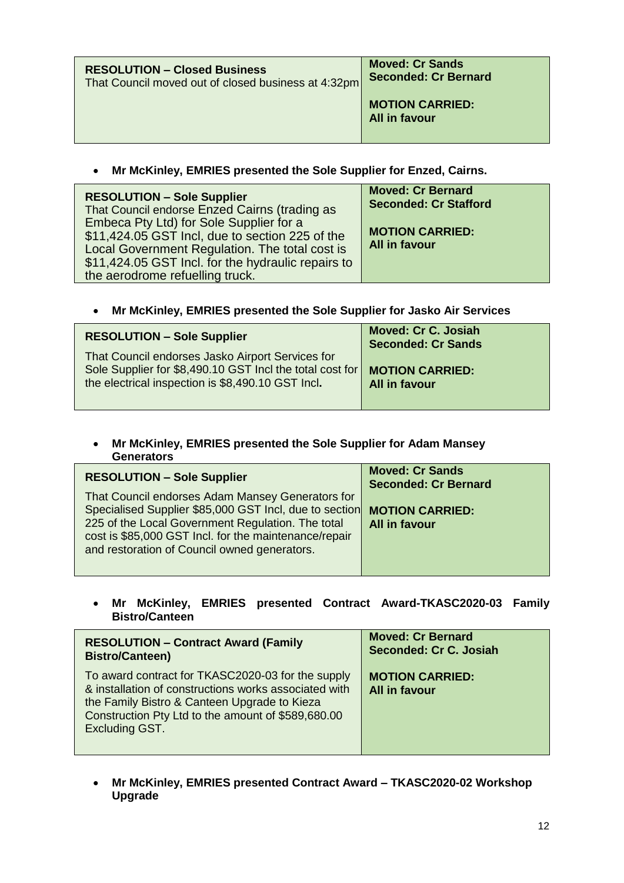| <b>RESOLUTION - Closed Business</b>                 | <b>Moved: Cr Sands</b>                  |
|-----------------------------------------------------|-----------------------------------------|
| That Council moved out of closed business at 4:32pm | <b>Seconded: Cr Bernard</b>             |
|                                                     | <b>MOTION CARRIED:</b><br>All in favour |

• **Mr McKinley, EMRIES presented the Sole Supplier for Enzed, Cairns.**

| <b>RESOLUTION - Sole Supplier</b><br>That Council endorse Enzed Cairns (trading as<br>Embeca Pty Ltd) for Sole Supplier for a<br>\$11,424.05 GST Incl, due to section 225 of the<br>Local Government Regulation. The total cost is<br>\$11,424.05 GST Incl. for the hydraulic repairs to<br>the aerodrome refuelling truck. | <b>Moved: Cr Bernard</b><br><b>Seconded: Cr Stafford</b><br><b>MOTION CARRIED:</b><br><b>All in favour</b> |
|-----------------------------------------------------------------------------------------------------------------------------------------------------------------------------------------------------------------------------------------------------------------------------------------------------------------------------|------------------------------------------------------------------------------------------------------------|
|-----------------------------------------------------------------------------------------------------------------------------------------------------------------------------------------------------------------------------------------------------------------------------------------------------------------------------|------------------------------------------------------------------------------------------------------------|

• **Mr McKinley, EMRIES presented the Sole Supplier for Jasko Air Services**

| <b>RESOLUTION - Sole Supplier</b>                                                                                                                                 | <b>Moved: Cr C. Josiah</b><br><b>Seconded: Cr Sands</b> |
|-------------------------------------------------------------------------------------------------------------------------------------------------------------------|---------------------------------------------------------|
| That Council endorses Jasko Airport Services for<br>Sole Supplier for \$8,490.10 GST Incl the total cost for<br>the electrical inspection is \$8,490.10 GST Incl. | <b>MOTION CARRIED:</b><br><b>All in favour</b>          |

### • **Mr McKinley, EMRIES presented the Sole Supplier for Adam Mansey Generators**

| <b>RESOLUTION - Sole Supplier</b>                                                                                                                                                                                                                                        | <b>Moved: Cr Sands</b><br><b>Seconded: Cr Bernard</b> |
|--------------------------------------------------------------------------------------------------------------------------------------------------------------------------------------------------------------------------------------------------------------------------|-------------------------------------------------------|
| That Council endorses Adam Mansey Generators for<br>Specialised Supplier \$85,000 GST Incl, due to section<br>225 of the Local Government Regulation. The total<br>cost is \$85,000 GST Incl. for the maintenance/repair<br>and restoration of Council owned generators. | <b>MOTION CARRIED:</b><br><b>All in favour</b>        |

• **Mr McKinley, EMRIES presented Contract Award-TKASC2020-03 Family Bistro/Canteen** 

| <b>RESOLUTION - Contract Award (Family</b>                                                                                                                                                                                                | <b>Moved: Cr Bernard</b>                       |
|-------------------------------------------------------------------------------------------------------------------------------------------------------------------------------------------------------------------------------------------|------------------------------------------------|
| <b>Bistro/Canteen)</b>                                                                                                                                                                                                                    | Seconded: Cr C. Josiah                         |
| To award contract for TKASC2020-03 for the supply<br>& installation of constructions works associated with<br>the Family Bistro & Canteen Upgrade to Kieza<br>Construction Pty Ltd to the amount of \$589,680.00<br><b>Excluding GST.</b> | <b>MOTION CARRIED:</b><br><b>All in favour</b> |

• **Mr McKinley, EMRIES presented Contract Award – TKASC2020-02 Workshop Upgrade**